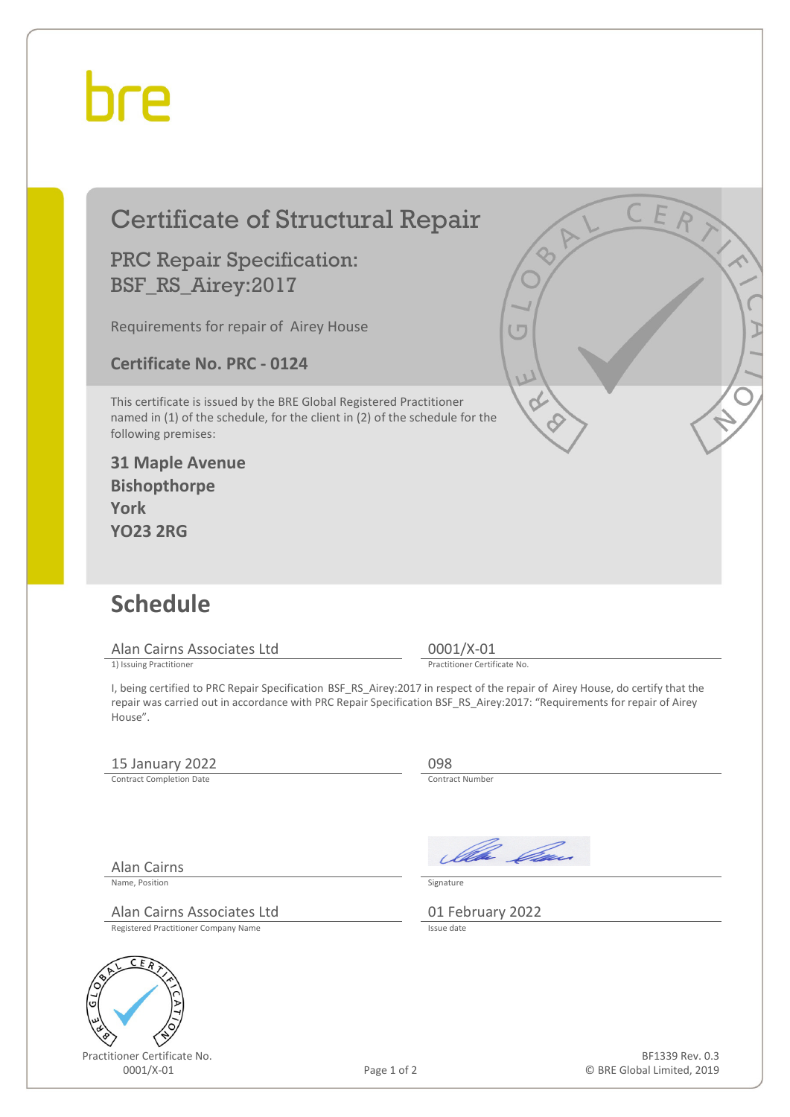## bre

|                                                                                                                                                                                                                                                               | <b>Certificate of Structural Repair</b><br><b>PRC Repair Specification:</b><br>BSF_RS_Airey:2017<br>Requirements for repair of Airey House<br><b>Certificate No. PRC - 0124</b>                                                                                                                                                                 |             | IΠ                                                      | CER                        |
|---------------------------------------------------------------------------------------------------------------------------------------------------------------------------------------------------------------------------------------------------------------|-------------------------------------------------------------------------------------------------------------------------------------------------------------------------------------------------------------------------------------------------------------------------------------------------------------------------------------------------|-------------|---------------------------------------------------------|----------------------------|
| This certificate is issued by the BRE Global Registered Practitioner<br>named in (1) of the schedule, for the client in (2) of the schedule for the<br>following premises:<br><b>31 Maple Avenue</b><br><b>Bishopthorpe</b><br><b>York</b><br><b>YO23 2RG</b> |                                                                                                                                                                                                                                                                                                                                                 |             |                                                         |                            |
|                                                                                                                                                                                                                                                               | <b>Schedule</b><br>Alan Cairns Associates Ltd<br>1) Issuing Practitioner<br>I, being certified to PRC Repair Specification BSF_RS_Airey:2017 in respect of the repair of Airey House, do certify that the<br>repair was carried out in accordance with PRC Repair Specification BSF_RS_Airey:2017: "Requirements for repair of Airey<br>House". |             | 0001/X-01<br>Practitioner Certificate No.               |                            |
|                                                                                                                                                                                                                                                               | 15 January 2022<br><b>Contract Completion Date</b>                                                                                                                                                                                                                                                                                              |             | 098<br>Contract Number                                  |                            |
| G                                                                                                                                                                                                                                                             | <b>Alan Cairns</b><br>Name, Position<br>Alan Cairns Associates Ltd<br>Registered Practitioner Company Name<br>CEA<br>Practitioner Certificate No.                                                                                                                                                                                               |             | Illa Can<br>Signature<br>01 February 2022<br>Issue date | BF1339 Rev. 0.3            |
|                                                                                                                                                                                                                                                               | 0001/X-01                                                                                                                                                                                                                                                                                                                                       | Page 1 of 2 |                                                         | © BRE Global Limited, 2019 |